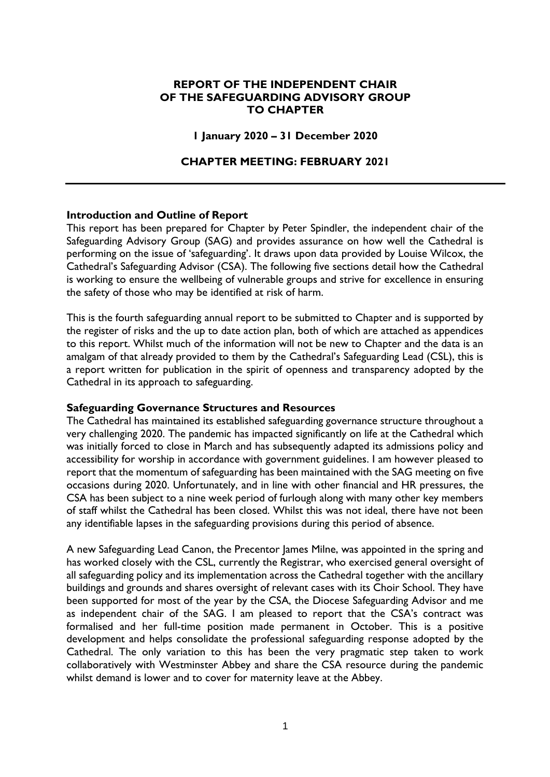# **REPORT OF THE INDEPENDENT CHAIR OF THE SAFEGUARDING ADVISORY GROUP TO CHAPTER**

#### **1 January 2020 – 31 December 2020**

## **CHAPTER MEETING: FEBRUARY 2021**

#### **Introduction and Outline of Report**

This report has been prepared for Chapter by Peter Spindler, the independent chair of the Safeguarding Advisory Group (SAG) and provides assurance on how well the Cathedral is performing on the issue of 'safeguarding'. It draws upon data provided by Louise Wilcox, the Cathedral's Safeguarding Advisor (CSA). The following five sections detail how the Cathedral is working to ensure the wellbeing of vulnerable groups and strive for excellence in ensuring the safety of those who may be identified at risk of harm.

This is the fourth safeguarding annual report to be submitted to Chapter and is supported by the register of risks and the up to date action plan, both of which are attached as appendices to this report. Whilst much of the information will not be new to Chapter and the data is an amalgam of that already provided to them by the Cathedral's Safeguarding Lead (CSL), this is a report written for publication in the spirit of openness and transparency adopted by the Cathedral in its approach to safeguarding.

#### **Safeguarding Governance Structures and Resources**

The Cathedral has maintained its established safeguarding governance structure throughout a very challenging 2020. The pandemic has impacted significantly on life at the Cathedral which was initially forced to close in March and has subsequently adapted its admissions policy and accessibility for worship in accordance with government guidelines. I am however pleased to report that the momentum of safeguarding has been maintained with the SAG meeting on five occasions during 2020. Unfortunately, and in line with other financial and HR pressures, the CSA has been subject to a nine week period of furlough along with many other key members of staff whilst the Cathedral has been closed. Whilst this was not ideal, there have not been any identifiable lapses in the safeguarding provisions during this period of absence.

A new Safeguarding Lead Canon, the Precentor James Milne, was appointed in the spring and has worked closely with the CSL, currently the Registrar, who exercised general oversight of all safeguarding policy and its implementation across the Cathedral together with the ancillary buildings and grounds and shares oversight of relevant cases with its Choir School. They have been supported for most of the year by the CSA, the Diocese Safeguarding Advisor and me as independent chair of the SAG. I am pleased to report that the CSA's contract was formalised and her full-time position made permanent in October. This is a positive development and helps consolidate the professional safeguarding response adopted by the Cathedral. The only variation to this has been the very pragmatic step taken to work collaboratively with Westminster Abbey and share the CSA resource during the pandemic whilst demand is lower and to cover for maternity leave at the Abbey.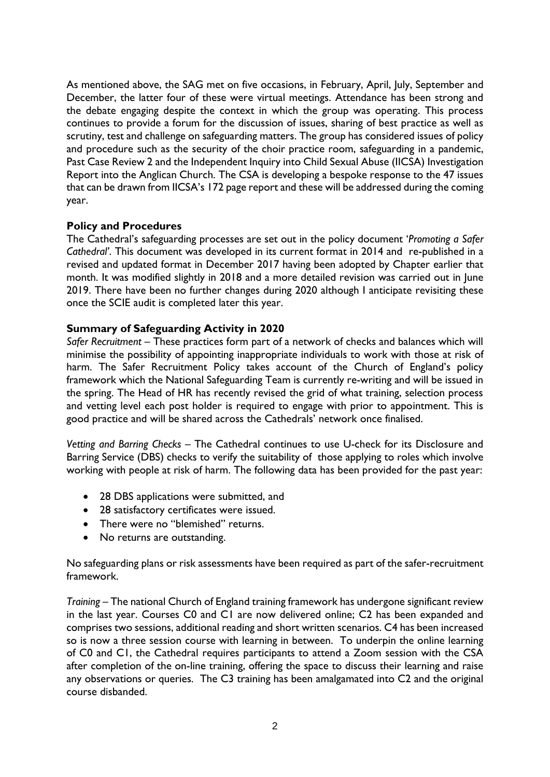As mentioned above, the SAG met on five occasions, in February, April, July, September and December, the latter four of these were virtual meetings. Attendance has been strong and the debate engaging despite the context in which the group was operating. This process continues to provide a forum for the discussion of issues, sharing of best practice as well as scrutiny, test and challenge on safeguarding matters. The group has considered issues of policy and procedure such as the security of the choir practice room, safeguarding in a pandemic, Past Case Review 2 and the Independent Inquiry into Child Sexual Abuse (IICSA) Investigation Report into the Anglican Church. The CSA is developing a bespoke response to the 47 issues that can be drawn from IICSA's 172 page report and these will be addressed during the coming year.

# **Policy and Procedures**

The Cathedral's safeguarding processes are set out in the policy document '*Promoting a Safer Cathedral'*. This document was developed in its current format in 2014 and re-published in a revised and updated format in December 2017 having been adopted by Chapter earlier that month. It was modified slightly in 2018 and a more detailed revision was carried out in June 2019. There have been no further changes during 2020 although I anticipate revisiting these once the SCIE audit is completed later this year.

# **Summary of Safeguarding Activity in 2020**

*Safer Recruitment* – These practices form part of a network of checks and balances which will minimise the possibility of appointing inappropriate individuals to work with those at risk of harm. The Safer Recruitment Policy takes account of the Church of England's policy framework which the National Safeguarding Team is currently re-writing and will be issued in the spring. The Head of HR has recently revised the grid of what training, selection process and vetting level each post holder is required to engage with prior to appointment. This is good practice and will be shared across the Cathedrals' network once finalised.

*Vetting and Barring Checks* – The Cathedral continues to use U-check for its Disclosure and Barring Service (DBS) checks to verify the suitability of those applying to roles which involve working with people at risk of harm. The following data has been provided for the past year:

- 28 DBS applications were submitted, and
- 28 satisfactory certificates were issued.
- There were no "blemished" returns.
- No returns are outstanding.

No safeguarding plans or risk assessments have been required as part of the safer-recruitment framework.

*Training* – The national Church of England training framework has undergone significant review in the last year. Courses C0 and C1 are now delivered online; C2 has been expanded and comprises two sessions, additional reading and short written scenarios. C4 has been increased so is now a three session course with learning in between. To underpin the online learning of C0 and C1, the Cathedral requires participants to attend a Zoom session with the CSA after completion of the on-line training, offering the space to discuss their learning and raise any observations or queries. The C3 training has been amalgamated into C2 and the original course disbanded.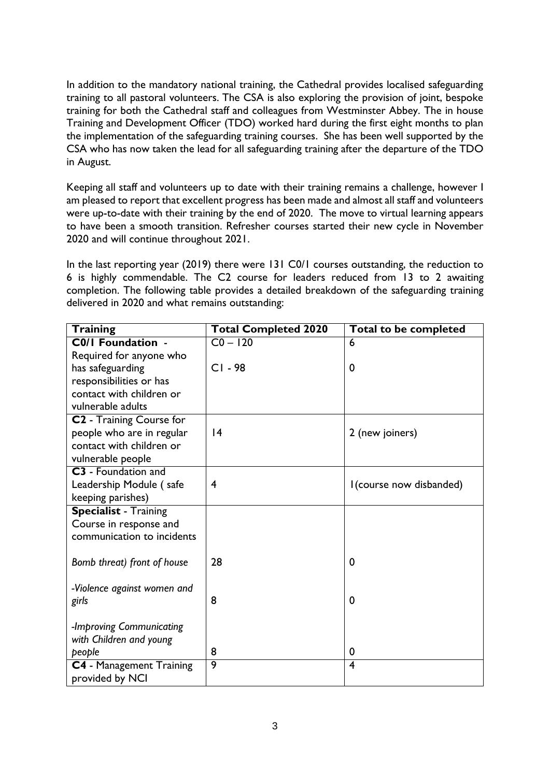In addition to the mandatory national training, the Cathedral provides localised safeguarding training to all pastoral volunteers. The CSA is also exploring the provision of joint, bespoke training for both the Cathedral staff and colleagues from Westminster Abbey. The in house Training and Development Officer (TDO) worked hard during the first eight months to plan the implementation of the safeguarding training courses. She has been well supported by the CSA who has now taken the lead for all safeguarding training after the departure of the TDO in August.

Keeping all staff and volunteers up to date with their training remains a challenge, however I am pleased to report that excellent progress has been made and almost all staff and volunteers were up-to-date with their training by the end of 2020. The move to virtual learning appears to have been a smooth transition. Refresher courses started their new cycle in November 2020 and will continue throughout 2021.

In the last reporting year (2019) there were 131 C0/1 courses outstanding, the reduction to 6 is highly commendable. The C2 course for leaders reduced from 13 to 2 awaiting completion. The following table provides a detailed breakdown of the safeguarding training delivered in 2020 and what remains outstanding:

| <b>Training</b>                      | <b>Total Completed 2020</b> | Total to be completed    |
|--------------------------------------|-----------------------------|--------------------------|
| C0/I Foundation -                    | $CO - 120$                  | 6                        |
| Required for anyone who              |                             |                          |
| has safeguarding                     | $CI - 98$                   | 0                        |
| responsibilities or has              |                             |                          |
| contact with children or             |                             |                          |
| vulnerable adults                    |                             |                          |
| C <sub>2</sub> - Training Course for |                             |                          |
| people who are in regular            | 4                           | 2 (new joiners)          |
| contact with children or             |                             |                          |
| vulnerable people                    |                             |                          |
| <b>C3</b> - Foundation and           |                             |                          |
| Leadership Module (safe              | $\overline{4}$              | I (course now disbanded) |
| keeping parishes)                    |                             |                          |
| <b>Specialist - Training</b>         |                             |                          |
| Course in response and               |                             |                          |
| communication to incidents           |                             |                          |
|                                      |                             |                          |
| Bomb threat) front of house          | 28                          | 0                        |
|                                      |                             |                          |
| -Violence against women and          | 8                           | 0                        |
| girls                                |                             |                          |
| -Improving Communicating             |                             |                          |
| with Children and young              |                             |                          |
| people                               | 8                           | 0                        |
| C4 - Management Training             | 9                           | 4                        |
| provided by NCI                      |                             |                          |
|                                      |                             |                          |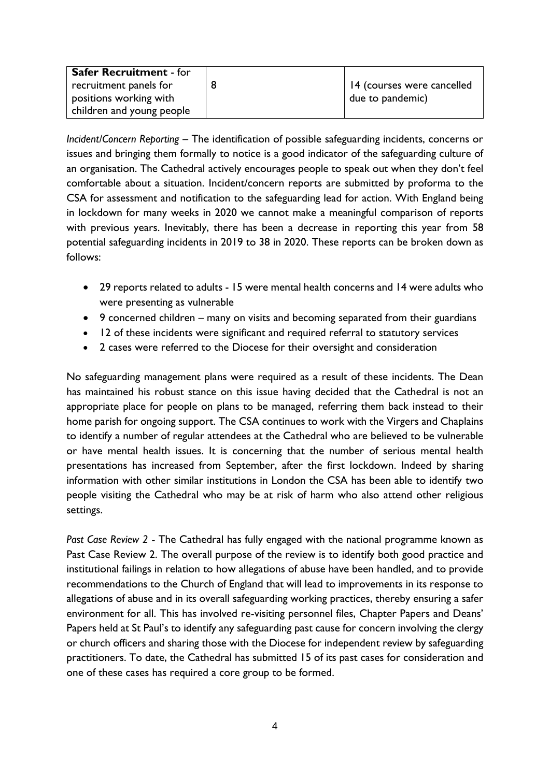| <b>Safer Recruitment - for</b> |                            |
|--------------------------------|----------------------------|
| recruitment panels for         | 14 (courses were cancelled |
| positions working with         | due to pandemic)           |
| children and young people      |                            |

*Incident/Concern Reporting* – The identification of possible safeguarding incidents, concerns or issues and bringing them formally to notice is a good indicator of the safeguarding culture of an organisation. The Cathedral actively encourages people to speak out when they don't feel comfortable about a situation. Incident/concern reports are submitted by proforma to the CSA for assessment and notification to the safeguarding lead for action. With England being in lockdown for many weeks in 2020 we cannot make a meaningful comparison of reports with previous years. Inevitably, there has been a decrease in reporting this year from 58 potential safeguarding incidents in 2019 to 38 in 2020. These reports can be broken down as follows:

- 29 reports related to adults 15 were mental health concerns and 14 were adults who were presenting as vulnerable
- 9 concerned children many on visits and becoming separated from their guardians
- 12 of these incidents were significant and required referral to statutory services
- 2 cases were referred to the Diocese for their oversight and consideration

No safeguarding management plans were required as a result of these incidents. The Dean has maintained his robust stance on this issue having decided that the Cathedral is not an appropriate place for people on plans to be managed, referring them back instead to their home parish for ongoing support. The CSA continues to work with the Virgers and Chaplains to identify a number of regular attendees at the Cathedral who are believed to be vulnerable or have mental health issues. It is concerning that the number of serious mental health presentations has increased from September, after the first lockdown. Indeed by sharing information with other similar institutions in London the CSA has been able to identify two people visiting the Cathedral who may be at risk of harm who also attend other religious settings.

*Past Case Review 2* - The Cathedral has fully engaged with the national programme known as Past Case Review 2. The overall purpose of the review is to identify both good practice and institutional failings in relation to how allegations of abuse have been handled, and to provide recommendations to the Church of England that will lead to improvements in its response to allegations of abuse and in its overall safeguarding working practices, thereby ensuring a safer environment for all. This has involved re-visiting personnel files, Chapter Papers and Deans' Papers held at St Paul's to identify any safeguarding past cause for concern involving the clergy or church officers and sharing those with the Diocese for independent review by safeguarding practitioners. To date, the Cathedral has submitted 15 of its past cases for consideration and one of these cases has required a core group to be formed.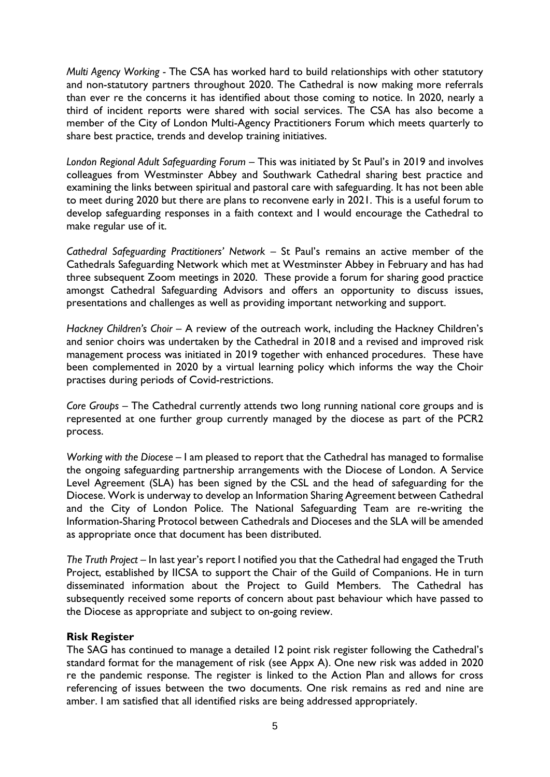*Multi Agency Working -* The CSA has worked hard to build relationships with other statutory and non-statutory partners throughout 2020. The Cathedral is now making more referrals than ever re the concerns it has identified about those coming to notice. In 2020, nearly a third of incident reports were shared with social services. The CSA has also become a member of the City of London Multi-Agency Practitioners Forum which meets quarterly to share best practice, trends and develop training initiatives.

*London Regional Adult Safeguarding Forum* – This was initiated by St Paul's in 2019 and involves colleagues from Westminster Abbey and Southwark Cathedral sharing best practice and examining the links between spiritual and pastoral care with safeguarding. It has not been able to meet during 2020 but there are plans to reconvene early in 2021. This is a useful forum to develop safeguarding responses in a faith context and I would encourage the Cathedral to make regular use of it.

*Cathedral Safeguarding Practitioners' Network –* St Paul's remains an active member of the Cathedrals Safeguarding Network which met at Westminster Abbey in February and has had three subsequent Zoom meetings in 2020. These provide a forum for sharing good practice amongst Cathedral Safeguarding Advisors and offers an opportunity to discuss issues, presentations and challenges as well as providing important networking and support.

*Hackney Children's Choir –* A review of the outreach work, including the Hackney Children's and senior choirs was undertaken by the Cathedral in 2018 and a revised and improved risk management process was initiated in 2019 together with enhanced procedures. These have been complemented in 2020 by a virtual learning policy which informs the way the Choir practises during periods of Covid-restrictions.

*Core Groups* – The Cathedral currently attends two long running national core groups and is represented at one further group currently managed by the diocese as part of the PCR2 process.

*Working with the Diocese* – I am pleased to report that the Cathedral has managed to formalise the ongoing safeguarding partnership arrangements with the Diocese of London. A Service Level Agreement (SLA) has been signed by the CSL and the head of safeguarding for the Diocese. Work is underway to develop an Information Sharing Agreement between Cathedral and the City of London Police. The National Safeguarding Team are re-writing the Information-Sharing Protocol between Cathedrals and Dioceses and the SLA will be amended as appropriate once that document has been distributed.

*The Truth Project* – In last year's report I notified you that the Cathedral had engaged the Truth Project, established by IICSA to support the Chair of the Guild of Companions. He in turn disseminated information about the Project to Guild Members. The Cathedral has subsequently received some reports of concern about past behaviour which have passed to the Diocese as appropriate and subject to on-going review.

# **Risk Register**

The SAG has continued to manage a detailed 12 point risk register following the Cathedral's standard format for the management of risk (see Appx A). One new risk was added in 2020 re the pandemic response. The register is linked to the Action Plan and allows for cross referencing of issues between the two documents. One risk remains as red and nine are amber. I am satisfied that all identified risks are being addressed appropriately.